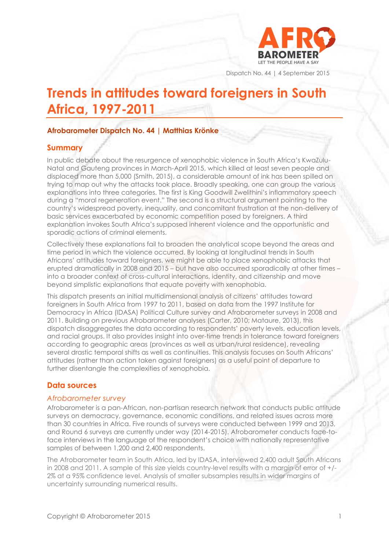

Dispatch No. 44 | 4 September 2015

# **Trends in attitudes toward foreigners in South Africa, 1997-2011**

## **Afrobarometer Dispatch No. 44 | Matthias Krönke**

# **Summary**

In public debate about the resurgence of xenophobic violence in South Africa's KwaZulu-Natal and Gauteng provinces in March-April 2015, which killed at least seven people and displaced more than 5,000 (Smith, 2015), a considerable amount of ink has been spilled on trying to map out why the attacks took place. Broadly speaking, one can group the various explanations into three categories. The first is King Goodwill Zwelithini's inflammatory speech during a "moral regeneration event." The second is a structural argument pointing to the country's widespread poverty, inequality, and concomitant frustration at the non-delivery of basic services exacerbated by economic competition posed by foreigners. A third explanation invokes South Africa's supposed inherent violence and the opportunistic and sporadic actions of criminal elements.

Collectively these explanations fail to broaden the analytical scope beyond the areas and time period in which the violence occurred. By looking at longitudinal trends in South Africans' attitudes toward foreigners, we might be able to place xenophobic attacks that erupted dramatically in 2008 and 2015 – but have also occurred sporadically at other times – into a broader context of cross-cultural interactions, identity, and citizenship and move beyond simplistic explanations that equate poverty with xenophobia.

This dispatch presents an initial multidimensional analysis of citizens' attitudes toward foreigners in South Africa from 1997 to 2011, based on data from the 1997 Institute for Democracy in Africa (IDASA) Political Culture survey and Afrobarometer surveys in 2008 and 2011. Building on previous Afrobarometer analyses (Carter, 2010; Mataure, 2013), this dispatch disaggregates the data according to respondents' poverty levels, education levels, and racial groups. It also provides insight into over-time trends in tolerance toward foreigners according to geographic areas (provinces as well as urban/rural residence), revealing several drastic temporal shifts as well as continuities. This analysis focuses on South Africans' attitudes (rather than action taken against foreigners) as a useful point of departure to further disentangle the complexities of xenophobia.

# **Data sources**

#### *Afrobarometer survey*

Afrobarometer is a pan-African, non-partisan research network that conducts public attitude surveys on democracy, governance, economic conditions, and related issues across more than 30 countries in Africa. Five rounds of surveys were conducted between 1999 and 2013, and Round 6 surveys are currently under way (2014-2015). Afrobarometer conducts face-toface interviews in the language of the respondent's choice with nationally representative samples of between 1,200 and 2,400 respondents.

The Afrobarometer team in South Africa, led by IDASA, interviewed 2,400 adult South Africans in 2008 and 2011. A sample of this size yields country-level results with a margin of error of +/- 2% at a 95% confidence level. Analysis of smaller subsamples results in wider margins of uncertainty surrounding numerical results.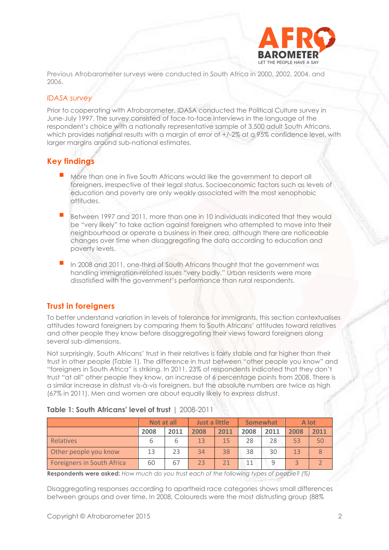

Previous Afrobarometer surveys were conducted in South Africa in 2000, 2002, 2004, and 2006.

#### *IDASA survey*

Prior to cooperating with Afrobarometer, IDASA conducted the Political Culture survey in June-July 1997. The survey consisted of face-to-face interviews in the language of the respondent's choice with a nationally representative sample of 3,500 adult South Africans, which provides national results with a margin of error of  $+/2\%$  at a 95% confidence level, with larger margins around sub-national estimates.

# **Key findings**

- More than one in five South Africans would like the government to deport all foreigners, irrespective of their legal status. Socioeconomic factors such as levels of education and poverty are only weakly associated with the most xenophobic attitudes.
- Between 1997 and 2011, more than one in 10 individuals indicated that they would be "very likely" to take action against foreigners who attempted to move into their neighbourhood or operate a business in their area, although there are noticeable changes over time when disaggregating the data according to education and poverty levels.
- In 2008 and 2011, one-third of South Africans thought that the government was handling immigration-related issues "very badly." Urban residents were more dissatisfied with the government's performance than rural respondents.

# **Trust in foreigners**

To better understand variation in levels of tolerance for immigrants, this section contextualises attitudes toward foreigners by comparing them to South Africans' attitudes toward relatives and other people they know before disaggregating their views toward foreigners along several sub-dimensions.

Not surprisingly, South Africans' trust in their relatives is fairly stable and far higher than their trust in other people (Table 1). The difference in trust between "other people you know" and "foreigners in South Africa" is striking. In 2011, 23% of respondents indicated that they don't trust "at all" other people they know, an increase of 6 percentage points from 2008. There is a similar increase in distrust vis-à-vis foreigners, but the absolute numbers are twice as high (67% in 2011). Men and women are about equally likely to express distrust.

| Table 1: South Africans' level of trust   2008-2011 |  |  |  |
|-----------------------------------------------------|--|--|--|
|-----------------------------------------------------|--|--|--|

|                                   | Not at all |      | Just a little |      | Somewhat |      | A lot |      |
|-----------------------------------|------------|------|---------------|------|----------|------|-------|------|
|                                   | 2008       | 2011 | 2008          | 2011 | 2008     | 2011 | 2008  | 2011 |
| Relatives                         |            |      | 13            | 15   | 28       | 28   | 53    | 50   |
| Other people you know             | 13         | 23   | 34            | 38   | 38       | 30   | 13    |      |
| <b>Foreigners in South Africa</b> | 60         | 67   | 23            |      |          |      |       |      |

**Respondents were asked:** *How much do you trust each of the following types of people? (%)*

Disaggregating responses according to apartheid race categories shows small differences between groups and over time. In 2008, Coloureds were the most distrusting group (88%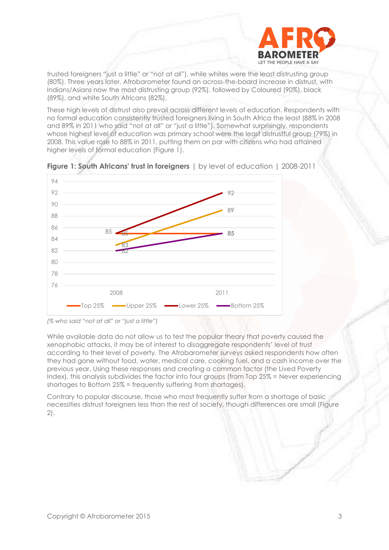

trusted foreigners "just a little" or "not at all"), while whites were the least distrusting group (80%). Three years later, Afrobarometer found an across-the-board increase in distrust, with Indians/Asians now the most distrusting group (92%), followed by Coloured (90%), black (89%), and white South Africans (82%).

These high levels of distrust also prevail across different levels of education. Respondents with no formal education consistently trusted foreigners living in South Africa the least (88% in 2008 and 89% in 2011 who said "not at all" or "just a little"). Somewhat surprisingly, respondents whose highest level of education was primary school were the least distrustful group (79%) in 2008. This value rose to 88% in 2011, putting them on par with citizens who had attained higher levels of formal education (Figure 1).





While available data do not allow us to test the popular theory that poverty caused the xenophobic attacks, it may be of interest to disaggregate respondents' level of trust according to their level of poverty. The Afrobarometer surveys asked respondents how often they had gone without food, water, medical care, cooking fuel, and a cash income over the previous year. Using these responses and creating a common factor (the Lived Poverty Index), this analysis subdivides the factor into four groups (from Top 25% = Never experiencing shortages to Bottom 25% = frequently suffering from shortages).

Contrary to popular discourse, those who most frequently suffer from a shortage of basic necessities distrust foreigners less than the rest of society, though differences are small (Figure 2).

*<sup>(%</sup> who said "not at all" or "just a little")*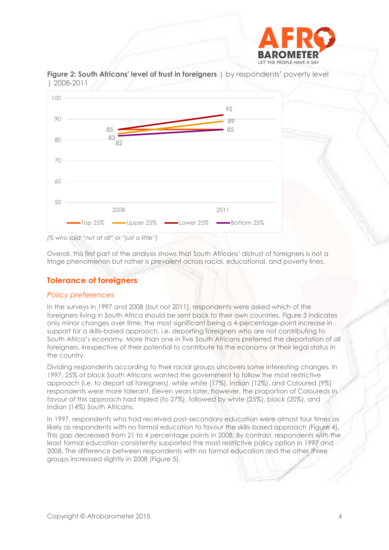



**Figure 2: South Africans' level of trust in foreigners** | by respondents' poverty level | 2008-2011

Overall, this first part of the analysis shows that South Africans' distrust of foreigners is not a fringe phenomenon but rather is prevalent across racial, educational, and poverty lines.

# **Tolerance of foreigners**

#### *Policy preferences*

In the surveys in 1997 and 2008 (but not 2011), respondents were asked which of the foreigners living in South Africa should be sent back to their own countries. Figure 3 indicates only minor changes over time, the most significant being a 4-percentage-point increase in support for a skills-based approach, i.e. deporting foreigners who are not contributing to South Africa's economy. More than one in five South Africans preferred the deportation of all foreigners, irrespective of their potential to contribute to the economy or their legal status in the country.

Dividing respondents according to their racial groups uncovers some interesting changes. In 1997, 25% of black South Africans wanted the government to follow the most restrictive approach (i.e. to deport all foreigners), while white (17%), Indian (12%), and Coloured (9%) respondents were more tolerant. Eleven years later, however, the proportion of Coloureds in favour of this approach had tripled (to 27%), followed by white (25%), black (20%), and Indian (14%) South Africans.

In 1997, respondents who had received post-secondary education were almost four times as likely as respondents with no formal education to favour the skills-based approach (Figure 4). This gap decreased from 21 to 4 percentage points in 2008. By contrast, respondents with the least formal education consistently supported the most restrictive policy option in 1997 and 2008. The difference between respondents with no formal education and the other three groups increased slightly in 2008 (Figure 5).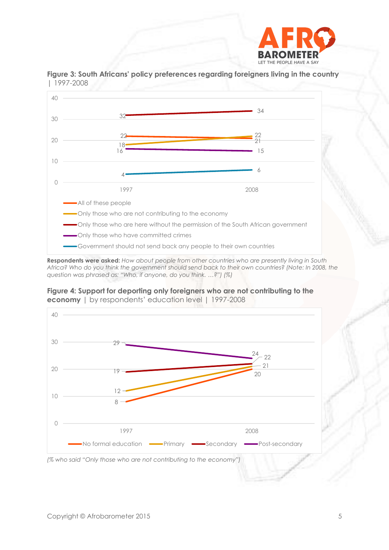



**Figure 3: South Africans' policy preferences regarding foreigners living in the country**  | 1997-2008

**Respondents were asked:** *How about people from other countries who are presently living in South Africa? Who do you think the government should send back to their own countries? (Note: In 2008, the question was phrased as: "Who, if anyone, do you think. …?") (%)*



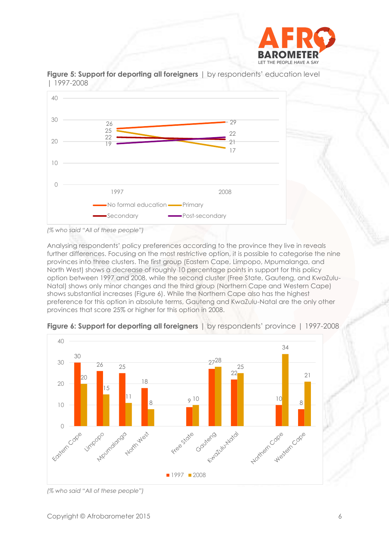



**Figure 5: Support for deporting all foreigners** | by respondents' education level | 1997-2008

*(% who said "All of these people")*

Analysing respondents' policy preferences according to the province they live in reveals further differences. Focusing on the most restrictive option, it is possible to categorise the nine provinces into three clusters. The first group (Eastern Cape, Limpopo, Mpumalanga, and North West) shows a decrease of roughly 10 percentage points in support for this policy option between 1997 and 2008, while the second cluster (Free State, Gauteng, and KwaZulu-Natal) shows only minor changes and the third group (Northern Cape and Western Cape) shows substantial increases (Figure 6). While the Northern Cape also has the highest preference for this option in absolute terms, Gauteng and KwaZulu-Natal are the only other provinces that score 25% or higher for this option in 2008.



**Figure 6: Support for deporting all foreigners** | by respondents' province | 1997-2008

*<sup>(%</sup> who said "All of these people")*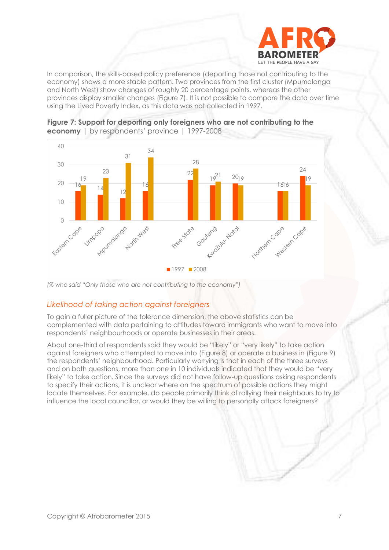

In comparison, the skills-based policy preference (deporting those not contributing to the economy) shows a more stable pattern. Two provinces from the first cluster (Mpumalanga and North West) show changes of roughly 20 percentage points, whereas the other provinces display smaller changes (Figure 7). It is not possible to compare the data over time using the Lived Poverty Index, as this data was not collected in 1997.



**Figure 7: Support for deporting only foreigners who are not contributing to the economy** | by respondents' province | 1997-2008

## *Likelihood of taking action against foreigners*

To gain a fuller picture of the tolerance dimension, the above statistics can be complemented with data pertaining to attitudes toward immigrants who want to move into respondents' neighbourhoods or operate businesses in their areas.

About one-third of respondents said they would be "likely" or "very likely" to take action against foreigners who attempted to move into (Figure 8) or operate a business in (Figure 9) the respondents' neighbourhood. Particularly worrying is that in each of the three surveys and on both questions, more than one in 10 individuals indicated that they would be "very likely" to take action. Since the surveys did not have follow-up questions asking respondents to specify their actions, it is unclear where on the spectrum of possible actions they might locate themselves. For example, do people primarily think of rallying their neighbours to try to influence the local councillor, or would they be willing to personally attack foreigners?

*<sup>(%</sup> who said "Only those who are not contributing to the economy")*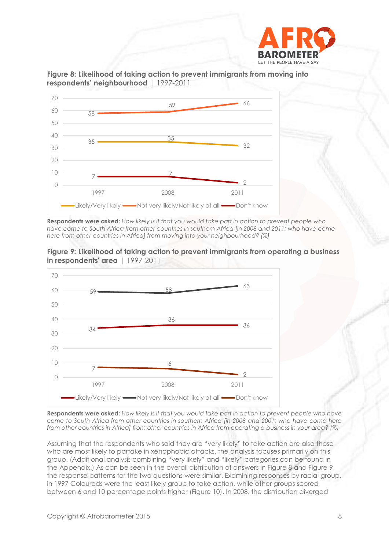





**Respondents were asked:** *How likely is it that you would take part in action to prevent people who have come to South Africa from other countries in southern Africa [in 2008 and 2011: who have come here from other countries in Africa] from moving into your neighbourhood? (%)* 





**Respondents were asked:** *How likely is it that you would take part in action to prevent people who have come to South Africa from other countries in southern Africa [in 2008 and 2001: who have come here from other countries in Africa] from other countries in Africa from operating a business in your area? (%)*

Assuming that the respondents who said they are "very likely" to take action are also those who are most likely to partake in xenophobic attacks, the analysis focuses primarily on this group. (Additional analysis combining "very likely" and "likely" categories can be found in the Appendix.) As can be seen in the overall distribution of answers in Figure 8 and Figure 9, the response patterns for the two questions were similar. Examining responses by racial group, in 1997 Coloureds were the least likely group to take action, while other groups scored between 6 and 10 percentage points higher (Figure 10). In 2008, the distribution diverged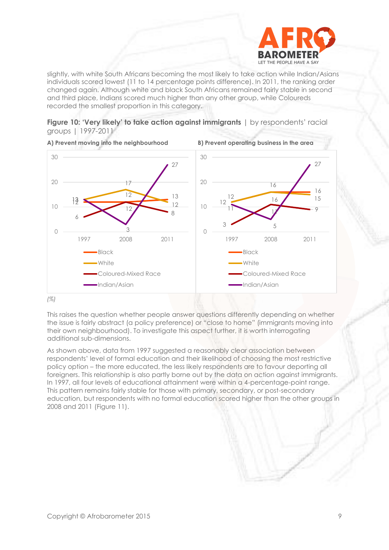

slightly, with white South Africans becoming the most likely to take action while Indian/Asians individuals scored lowest (11 to 14 percentage points difference). In 2011, the ranking order changed again. Although white and black South Africans remained fairly stable in second and third place, Indians scored much higher than any other group, while Coloureds recorded the smallest proportion in this category.





*(%)*

This raises the question whether people answer questions differently depending on whether the issue is fairly abstract (a policy preference) or "close to home" (immigrants moving into their own neighbourhood). To investigate this aspect further, it is worth interrogating additional sub-dimensions.

As shown above, data from 1997 suggested a reasonably clear association between respondents' level of formal education and their likelihood of choosing the most restrictive policy option – the more educated, the less likely respondents are to favour deporting all foreigners. This relationship is also partly borne out by the data on action against immigrants. In 1997, all four levels of educational attainment were within a 4-percentage-point range. This pattern remains fairly stable for those with primary, secondary, or post-secondary education, but respondents with no formal education scored higher than the other groups in 2008 and 2011 (Figure 11).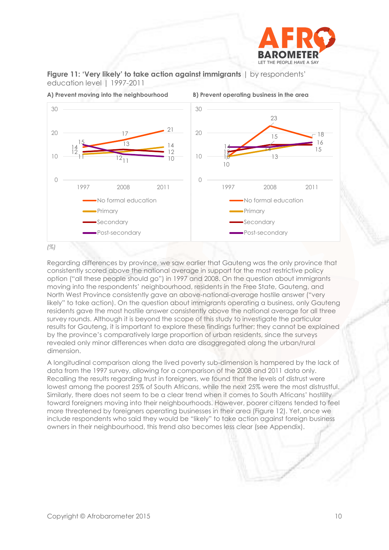





Regarding differences by province, we saw earlier that Gauteng was the only province that consistently scored above the national average in support for the most restrictive policy option ("all these people should go") in 1997 and 2008. On the question about immigrants moving into the respondents' neighbourhood, residents in the Free State, Gauteng, and North West Province consistently gave an above-national-average hostile answer ("very likely" to take action). On the question about immigrants operating a business, only Gauteng residents gave the most hostile answer consistently above the national average for all three survey rounds. Although it is beyond the scope of this study to investigate the particular results for Gauteng, it is important to explore these findings further; they cannot be explained by the province's comparatively large proportion of urban residents, since the surveys revealed only minor differences when data are disaggregated along the urban/rural

A longitudinal comparison along the lived poverty sub-dimension is hampered by the lack of data from the 1997 survey, allowing for a comparison of the 2008 and 2011 data only. Recalling the results regarding trust in foreigners, we found that the levels of distrust were lowest among the poorest 25% of South Africans, while the next 25% were the most distrustful. Similarly, there does not seem to be a clear trend when it comes to South Africans' hostility toward foreigners moving into their neighbourhoods. However, poorer citizens tended to feel more threatened by foreigners operating businesses in their area (Figure 12). Yet, once we include respondents who said they would be "likely" to take action against foreign business owners in their neighbourhood, this trend also becomes less clear (see Appendix).

# dimension.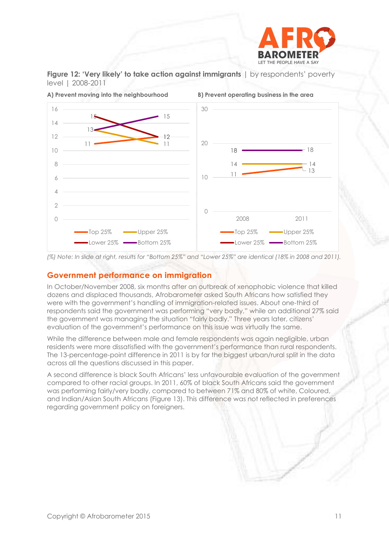





**A) Prevent moving into the neighbourhood B) Prevent operating business in the area**

*(%) Note: In slide at right, results for "Bottom 25%" and "Lower 25%" are identical (18% in 2008 and 2011).*

## **Government performance on immigration**

In October/November 2008, six months after an outbreak of xenophobic violence that killed dozens and displaced thousands, Afrobarometer asked South Africans how satisfied they were with the government's handling of immigration-related issues. About one-third of respondents said the government was performing "very badly," while an additional 27% said the government was managing the situation "fairly badly." Three years later, citizens' evaluation of the government's performance on this issue was virtually the same.

While the difference between male and female respondents was again negligible, urban residents were more dissatisfied with the government's performance than rural respondents. The 13-percentage-point difference in 2011 is by far the biggest urban/rural split in the data across all the questions discussed in this paper.

A second difference is black South Africans' less unfavourable evaluation of the government compared to other racial groups. In 2011, 60% of black South Africans said the government was performing fairly/very badly, compared to between 71% and 80% of white, Coloured, and Indian/Asian South Africans (Figure 13). This difference was not reflected in preferences regarding government policy on foreigners.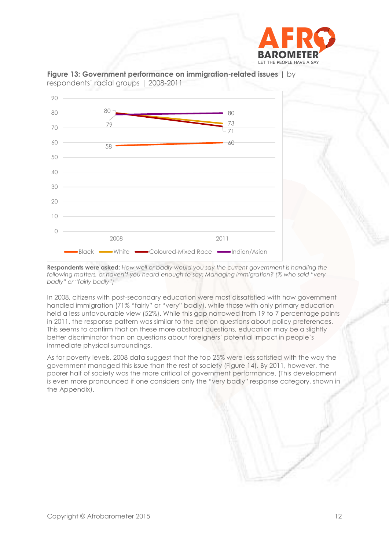



**Figure 13: Government performance on immigration-related issues** | by respondents' racial groups | 2008-2011

**Respondents were asked:** *How well or badly would you say the current government is handling the following matters, or haven't you heard enough to say: Managing immigration? (% who said "very badly" or "fairly badly")*

In 2008, citizens with post-secondary education were most dissatisfied with how government handled immigration (71% "fairly" or "very" badly), while those with only primary education held a less unfavourable view (52%). While this gap narrowed from 19 to 7 percentage points in 2011, the response pattern was similar to the one on questions about policy preferences. This seems to confirm that on these more abstract questions, education may be a slightly better discriminator than on questions about foreigners' potential impact in people's immediate physical surroundings.

As for poverty levels, 2008 data suggest that the top 25% were less satisfied with the way the government managed this issue than the rest of society (Figure 14). By 2011, however, the poorer half of society was the more critical of government performance. (This development is even more pronounced if one considers only the "very badly" response category, shown in the Appendix).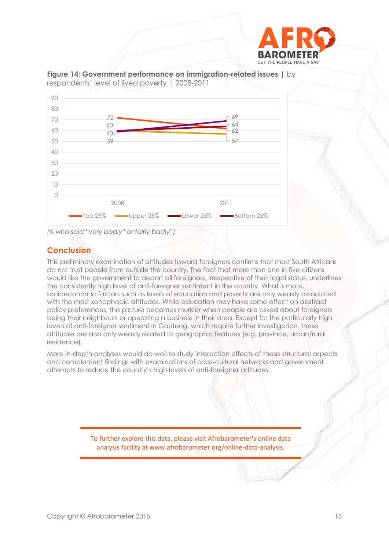



**Figure 14: Government performance on immigration-related issues** | by respondents' level of lived poverty | 2008-2011

*(% who said "very badly" or fairly badly")*

# **Conclusion**

This preliminary examination of attitudes toward foreigners confirms that most South Africans do not trust people from outside the country. The fact that more than one in five citizens would like the government to deport all foreigners, irrespective of their legal status, underlines the consistently high level of anti-foreigner sentiment in the country. What is more, socioeconomic factors such as levels of education and poverty are only weakly associated with the most xenophobic attitudes. While education may have some effect on abstract policy preferences, the picture becomes murkier when people are asked about foreigners being their neighbours or operating a business in their area. Except for the particularly high levels of anti-foreigner sentiment in Gauteng, which require further investigation, these attitudes are also only weakly related to geographic features (e.g. province, urban/rural residence).

More in-depth analyses would do well to study interaction effects of these structural aspects and complement findings with examinations of cross-cultural networks and government attempts to reduce the country's high levels of anti-foreigner attitudes.

> To further explore this data, please visit Afrobarometer's online data analysis facility at www.afrobarometer.org/online-data-analysis.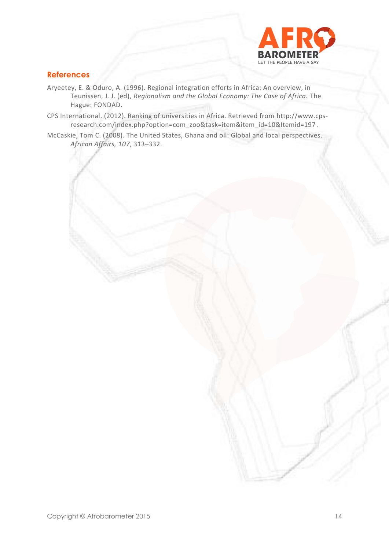

# **References**

- Aryeetey, E. & Oduro, A. (1996). Regional integration efforts in Africa: An overview, in Teunissen, J. J. (ed), *Regionalism and the Global Economy: The Case of Africa.* The Hague: FONDAD.
- CPS International. (2012). Ranking of universities in Africa. Retrieved from [http://www.cps](http://www.cps-research.com/index.php?option=com_zoo&task=item&item_id=10&Itemid=197)[research.com/index.php?option=com\\_zoo&task=item&item\\_id=10&Itemid=197.](http://www.cps-research.com/index.php?option=com_zoo&task=item&item_id=10&Itemid=197)
- McCaskie, Tom C. (2008). The United States, Ghana and oil: Global and local perspectives. *African Affairs, 107*, 313–332.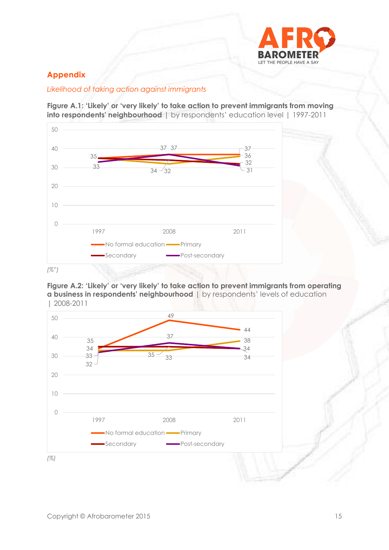

# **Appendix**

# *Likelihood of taking action against immigrants*

**Figure A.1: 'Likely' or 'very likely' to take action to prevent immigrants from moving into respondents' neighbourhood** | by respondents' education level | 1997-2011



**Figure A.2: 'Likely' or 'very likely' to take action to prevent immigrants from operating a business in respondents' neighbourhood** | by respondents' levels of education | 2008-2011

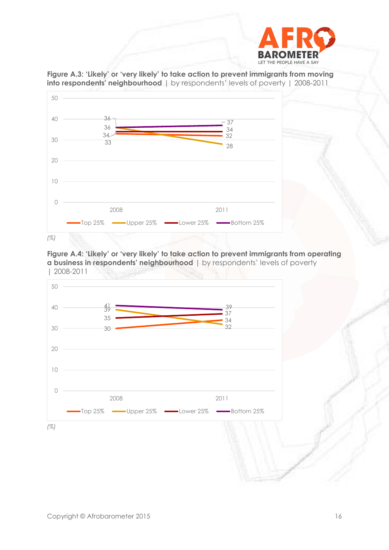



**Figure A.3: 'Likely' or 'very likely' to take action to prevent immigrants from moving into respondents' neighbourhood** | by respondents' levels of poverty | 2008-2011



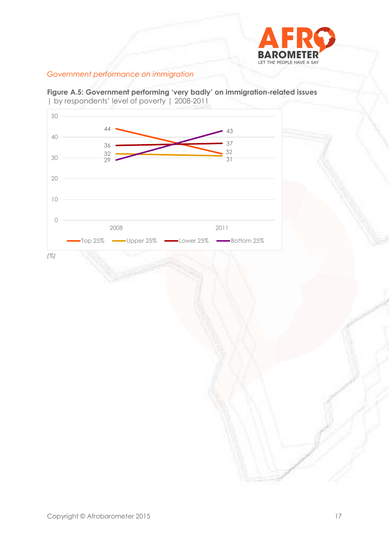

# *Government performance on immigration*

**Figure A.5: Government performing 'very badly' on immigration-related issues**  | by respondents' level of poverty | 2008-2011